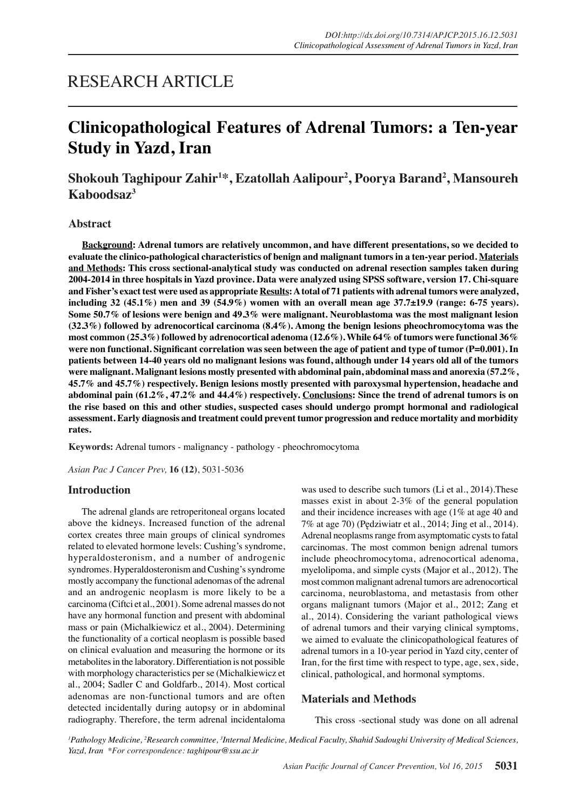# RESEARCH ARTICLE

# **Clinicopathological Features of Adrenal Tumors: a Ten-year Study in Yazd, Iran**

# **Shokouh Taghipour Zahir1 \*, Ezatollah Aalipour2 , Poorya Barand2 , Mansoureh Kaboodsaz3**

#### **Abstract**

**Background: Adrenal tumors are relatively uncommon, and have different presentations, so we decided to evaluate the clinico-pathological characteristics of benign and malignant tumors in a ten-year period. Materials and Methods: This cross sectional-analytical study was conducted on adrenal resection samples taken during 2004-2014 in three hospitals in Yazd province. Data were analyzed using SPSS software, version 17. Chi-square and Fisher's exact test were used as appropriate Results: A total of 71 patients with adrenal tumors were analyzed, including 32 (45.1%) men and 39 (54.9%) women with an overall mean age 37.7±19.9 (range: 6-75 years). Some 50.7% of lesions were benign and 49.3% were malignant. Neuroblastoma was the most malignant lesion (32.3%) followed by adrenocortical carcinoma (8.4%). Among the benign lesions pheochromocytoma was the most common (25.3%) followed by adrenocortical adenoma (12.6%). While 64% of tumors were functional 36% were non functional. Significant correlation was seen between the age of patient and type of tumor (P=0.001). In patients between 14-40 years old no malignant lesions was found, although under 14 years old all of the tumors were malignant. Malignant lesions mostly presented with abdominal pain, abdominal mass and anorexia (57.2%, 45.7% and 45.7%) respectively. Benign lesions mostly presented with paroxysmal hypertension, headache and abdominal pain (61.2%, 47.2% and 44.4%) respectively. Conclusions: Since the trend of adrenal tumors is on the rise based on this and other studies, suspected cases should undergo prompt hormonal and radiological assessment. Early diagnosis and treatment could prevent tumor progression and reduce mortality and morbidity rates.**

**Keywords:** Adrenal tumors - malignancy - pathology - pheochromocytoma

*Asian Pac J Cancer Prev,* **16 (12)**, 5031-5036

#### **Introduction**

The adrenal glands are retroperitoneal organs located above the kidneys. Increased function of the adrenal cortex creates three main groups of clinical syndromes related to elevated hormone levels: Cushing's syndrome, hyperaldosteronism, and a number of androgenic syndromes. Hyperaldosteronism and Cushing's syndrome mostly accompany the functional adenomas of the adrenal and an androgenic neoplasm is more likely to be a carcinoma (Ciftci et al., 2001). Some adrenal masses do not have any hormonal function and present with abdominal mass or pain (Michalkiewicz et al., 2004). Determining the functionality of a cortical neoplasm is possible based on clinical evaluation and measuring the hormone or its metabolites in the laboratory. Differentiation is not possible with morphology characteristics per se (Michalkiewicz et al., 2004; Sadler C and Goldfarb., 2014). Most cortical adenomas are non-functional tumors and are often detected incidentally during autopsy or in abdominal radiography. Therefore, the term adrenal incidentaloma was used to describe such tumors (Li et al., 2014).These masses exist in about 2-3% of the general population and their incidence increases with age (1% at age 40 and 7% at age 70) (Pędziwiatr et al., 2014; Jing et al., 2014). Adrenal neoplasms range from asymptomatic cysts to fatal carcinomas. The most common benign adrenal tumors include pheochromocytoma, adrenocortical adenoma, myelolipoma, and simple cysts (Major et al., 2012). The most common malignant adrenal tumors are adrenocortical carcinoma, neuroblastoma, and metastasis from other organs malignant tumors (Major et al., 2012; Zang et al., 2014). Considering the variant pathological views of adrenal tumors and their varying clinical symptoms, we aimed to evaluate the clinicopathological features of adrenal tumors in a 10-year period in Yazd city, center of Iran, for the first time with respect to type, age, sex, side, clinical, pathological, and hormonal symptoms.

#### **Materials and Methods**

This cross -sectional study was done on all adrenal

<sup>1</sup> Pathology Medicine, <sup>2</sup> Research committee, <sup>3</sup> Internal Medicine, Medical Faculty, Shahid Sadoughi University of Medical Sciences, *Yazd, Iran \*For correspondence: taghipour@ssu.ac.ir*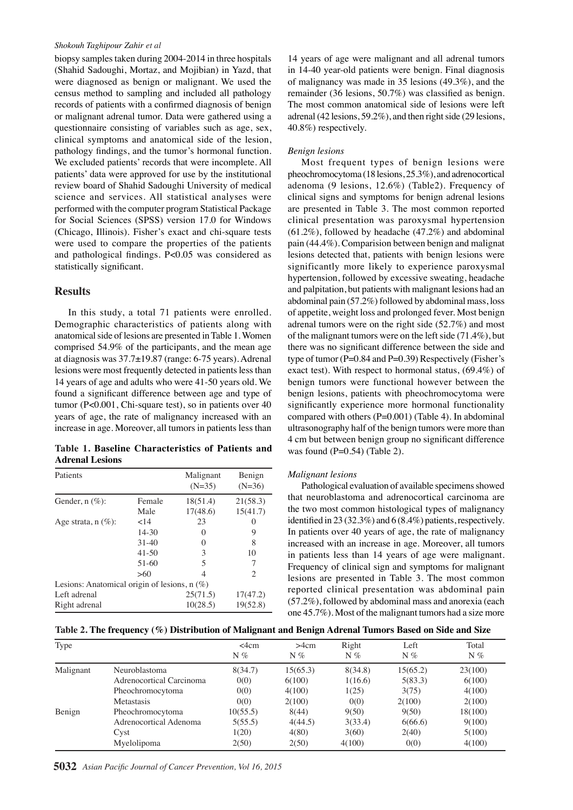#### *Shokouh Taghipour Zahir et al*

biopsy samples taken during 2004-2014 in three hospitals (Shahid Sadoughi, Mortaz, and Mojibian) in Yazd, that were diagnosed as benign or malignant. We used the census method to sampling and included all pathology records of patients with a confirmed diagnosis of benign or malignant adrenal tumor. Data were gathered using a questionnaire consisting of variables such as age, sex, clinical symptoms and anatomical side of the lesion, pathology findings, and the tumor's hormonal function. We excluded patients' records that were incomplete. All patients' data were approved for use by the institutional review board of Shahid Sadoughi University of medical science and services. All statistical analyses were performed with the computer program Statistical Package for Social Sciences (SPSS) version 17.0 for Windows (Chicago, Illinois). Fisher's exact and chi-square tests were used to compare the properties of the patients and pathological findings. P<0.05 was considered as statistically significant.

## **Results**

In this study, a total 71 patients were enrolled. Demographic characteristics of patients along with anatomical side of lesions are presented in Table 1. Women comprised 54.9% of the participants, and the mean age at diagnosis was 37.7±19.87 (range: 6-75 years). Adrenal lesions were most frequently detected in patients less than 14 years of age and adults who were 41-50 years old. We found a significant difference between age and type of tumor (P<0.001, Chi-square test), so in patients over 40 years of age, the rate of malignancy increased with an increase in age. Moreover, all tumors in patients less than

**Table 1. Baseline Characteristics of Patients and Adrenal Lesions**

| Patients                                       |           | Malignant<br>$(N=35)$ | Benign<br>$(N=36)$ |  |  |  |  |
|------------------------------------------------|-----------|-----------------------|--------------------|--|--|--|--|
| Gender, $n(\%)$ :                              | Female    | 18(51.4)              | 21(58.3)           |  |  |  |  |
|                                                | Male      | 17(48.6)              | 15(41.7)           |  |  |  |  |
| Age strata, $n(\%)$ :                          | ${<}14$   | 23                    | $\theta$           |  |  |  |  |
|                                                | $14 - 30$ | $\mathbf{0}$          | 9                  |  |  |  |  |
|                                                | $31 - 40$ | 0                     | 8                  |  |  |  |  |
|                                                | $41 - 50$ | 3                     | 10                 |  |  |  |  |
|                                                | 51-60     | 5                     | 7                  |  |  |  |  |
|                                                | >60       | 4                     | 2                  |  |  |  |  |
| Lesions: Anatomical origin of lesions, $n(\%)$ |           |                       |                    |  |  |  |  |
| Left adrenal                                   |           | 25(71.5)              | 17(47.2)           |  |  |  |  |
| Right adrenal                                  |           | 10(28.5)              | 19(52.8)           |  |  |  |  |

14 years of age were malignant and all adrenal tumors in 14-40 year-old patients were benign. Final diagnosis of malignancy was made in 35 lesions (49.3%), and the remainder (36 lesions, 50.7%) was classified as benign. The most common anatomical side of lesions were left adrenal (42 lesions, 59.2%), and then right side (29 lesions, 40.8%) respectively.

#### *Benign lesions*

Most frequent types of benign lesions were pheochromocytoma (18 lesions, 25.3%), and adrenocortical adenoma (9 lesions, 12.6%) (Table2). Frequency of clinical signs and symptoms for benign adrenal lesions are presented in Table 3. The most common reported clinical presentation was paroxysmal hypertension (61.2%), followed by headache (47.2%) and abdominal pain (44.4%). Comparision between benign and malignat lesions detected that, patients with benign lesions were significantly more likely to experience paroxysmal hypertension, followed by excessive sweating, headache and palpitation, but patients with malignant lesions had an abdominal pain (57.2%) followed by abdominal mass, loss of appetite, weight loss and prolonged fever. Most benign adrenal tumors were on the right side (52.7%) and most of the malignant tumors were on the left side (71.4%), but there was no significant difference between the side and type of tumor (P=0.84 and P=0.39) Respectively (Fisher's exact test). With respect to hormonal status, (69.4%) of benign tumors were functional however between the benign lesions, patients with pheochromocytoma were significantly experience more hormonal functionality compared with others (P=0.001) (Table 4). In abdominal ultrasonography half of the benign tumors were more than 4 cm but between benign group no significant difference was found  $(P=0.54)$  (Table 2).

#### *Malignant lesions*

Pathological evaluation of available specimens showed that neuroblastoma and adrenocortical carcinoma are the two most common histological types of malignancy identified in 23 (32.3%) and 6 (8.4%) patients, respectively. In patients over 40 years of age, the rate of malignancy increased with an increase in age. Moreover, all tumors in patients less than 14 years of age were malignant. Frequency of clinical sign and symptoms for malignant lesions are presented in Table 3. The most common reported clinical presentation was abdominal pain (57.2%), followed by abdominal mass and anorexia (each one 45.7%). Most of the malignant tumors had a size more

| Table 2. The frequency (%) Distribution of Malignant and Benign Adrenal Tumors Based on Side and Size |  |  |  |  |
|-------------------------------------------------------------------------------------------------------|--|--|--|--|
|                                                                                                       |  |  |  |  |

| Type      |                          | $\leq$ 4 $cm$<br>$N\%$ | >4cm<br>$N\%$ | Right<br>$N\%$ | Left<br>$N\%$ | Total<br>$N\%$ |
|-----------|--------------------------|------------------------|---------------|----------------|---------------|----------------|
| Malignant | Neuroblastoma            | 8(34.7)                | 15(65.3)      | 8(34.8)        | 15(65.2)      | 23(100)        |
|           | Adrenocortical Carcinoma | 0(0)                   | 6(100)        | 1(16.6)        | 5(83.3)       | 6(100)         |
|           | Pheochromocytoma         | 0(0)                   | 4(100)        | 1(25)          | 3(75)         | 4(100)         |
|           | Metastasis               | 0(0)                   | 2(100)        | 0(0)           | 2(100)        | 2(100)         |
| Benign    | Pheochromocytoma         | 10(55.5)               | 8(44)         | 9(50)          | 9(50)         | 18(100)        |
|           | Adrenocortical Adenoma   | 5(55.5)                | 4(44.5)       | 3(33.4)        | 6(66.6)       | 9(100)         |
|           | Cyst                     | 1(20)                  | 4(80)         | 3(60)          | 2(40)         | 5(100)         |
|           | Myelolipoma              | 2(50)                  | 2(50)         | 4(100)         | 0(0)          | 4(100)         |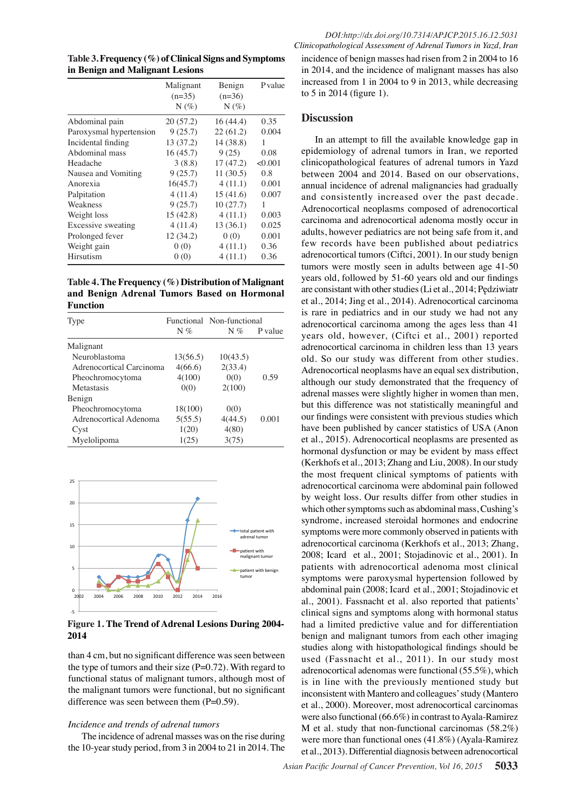**Table 3. Frequency (%) of Clinical Signs and Symptoms in Benign and Malignant Lesions** 

|                           | Malignant<br>$(n=35)$ | Benign<br>$(n=36)$ | P value |
|---------------------------|-----------------------|--------------------|---------|
|                           | $N(\%)$               | $N(\%)$            |         |
| Abdominal pain            | 20(57.2)              | 16 (44.4)          | 0.35    |
| Paroxysmal hypertension   | 9(25.7)               | 22(61.2)           | 0.004   |
| Incidental finding        | 13 (37.2)             | 14 (38.8)          | 1       |
| Abdominal mass            | 16(45.7)              | 9(25)              | 0.08    |
| Headache                  | 3(8.8)                | 17(47.2)           | < 0.001 |
| Nausea and Vomiting       | 9(25.7)               | 11(30.5)           | 0.8     |
| Anorexia                  | 16(45.7)              | 4(11.1)            | 0.001   |
| Palpitation               | 4(11.4)               | 15(41.6)           | 0.007   |
| Weakness                  | 9(25.7)               | 10(27.7)           | 1       |
| Weight loss               | 15(42.8)              | 4(11.1)            | 0.003   |
| <b>Excessive sweating</b> | 4(11.4)               | 13(36.1)           | 0.025   |
| Prolonged fever           | 12 (34.2)             | 0(0)               | 0.001   |
| Weight gain               | 0(0)                  | 4(11.1)            | 0.36    |
| Hirsutism                 | 0(0)                  | 4(11.1)            | 0.36    |

**Table 4. The Frequency (%) Distribution of Malignant and Benign Adrenal Tumors Based on Hormonal Function**

| Type                     | $N\%$    | Functional Non-functional<br>$N\%$ | P value |
|--------------------------|----------|------------------------------------|---------|
|                          |          |                                    |         |
| Malignant                |          |                                    |         |
| Neuroblastoma            | 13(56.5) | 10(43.5)                           |         |
| Adrenocortical Carcinoma | 4(66.6)  | 2(33.4)                            |         |
| Pheochromocytoma         | 4(100)   | 0(0)                               | 0.59    |
| Metastasis               | 0(0)     | 2(100)                             |         |
| Benign                   |          |                                    |         |
| Pheochromocytoma         | 18(100)  | 0(0)                               |         |
| Adrenocortical Adenoma   | 5(55.5)  | 4(44.5)                            | 0.001   |
| Cyst                     | 1(20)    | 4(80)                              |         |
| Myelolipoma              | 1(25)    | 3(75)                              |         |



**Figure 1. The Trend of Adrenal Lesions During 2004- 2014**

than 4 cm, but no significant difference was seen between the type of tumors and their size  $(P=0.72)$ . With regard to functional status of malignant tumors, although most of the malignant tumors were functional, but no significant difference was seen between them  $(P=0.59)$ .

#### *Incidence and trends of adrenal tumors*

The incidence of adrenal masses was on the rise during the 10-year study period, from 3 in 2004 to 21 in 2014. The

incidence of benign masses had risen from 2 in 2004 to 16 in 2014, and the incidence of malignant masses has also increased from 1 in 2004 to 9 in 2013, while decreasing to 5 in 2014 (figure 1).

## **Discussion**

In an attempt to fill the available knowledge gap in epidemiology of adrenal tumors in Iran, we reported clinicopathological features of adrenal tumors in Yazd between 2004 and 2014. Based on our observations, annual incidence of adrenal malignancies had gradually and consistently increased over the past decade. Adrenocortical neoplasms composed of adrenocortical carcinoma and adrenocortical adenoma mostly occur in adults, however pediatrics are not being safe from it, and few records have been published about pediatrics adrenocortical tumors (Ciftci, 2001). In our study benign tumors were mostly seen in adults between age 41-50 years old, followed by 51-60 years old and our findings are consistant with other studies (Li et al., 2014; Pędziwiatr et al., 2014; Jing et al., 2014). Adrenocortical carcinoma is rare in pediatrics and in our study we had not any adrenocortical carcinoma among the ages less than 41 years old, however, (Ciftci et al., 2001) reported adrenocortical carcinoma in children less than 13 years old. So our study was different from other studies. Adrenocortical neoplasms have an equal sex distribution, although our study demonstrated that the frequency of adrenal masses were slightly higher in women than men, but this difference was not statistically meaningful and our findings were consistent with previous studies which have been published by cancer statistics of USA (Anon et al., 2015). Adrenocortical neoplasms are presented as hormonal dysfunction or may be evident by mass effect (Kerkhofs et al., 2013; Zhang and Liu, 2008). In our study the most frequent clinical symptoms of patients with adrenocortical carcinoma were abdominal pain followed by weight loss. Our results differ from other studies in which other symptoms such as abdominal mass, Cushing's syndrome, increased steroidal hormones and endocrine symptoms were more commonly observed in patients with adrenocortical carcinoma (Kerkhofs et al., 2013; Zhang, 2008; Icard et al., 2001; Stojadinovic et al., 2001). In patients with adrenocortical adenoma most clinical symptoms were paroxysmal hypertension followed by abdominal pain (2008; Icard et al., 2001; Stojadinovic et al., 2001). Fassnacht et al. also reported that patients' clinical signs and symptoms along with hormonal status had a limited predictive value and for differentiation benign and malignant tumors from each other imaging studies along with histopathological findings should be used (Fassnacht et al., 2011). In our study most adrenocortical adenomas were functional (55.5%), which is in line with the previously mentioned study but inconsistent with Mantero and colleagues' study (Mantero et al., 2000). Moreover, most adrenocortical carcinomas were also functional (66.6%) in contrast to Ayala-Ramirez M et al. study that non-functional carcinomas (58.2%) were more than functional ones (41.8%) (Ayala-Ramirez et al., 2013). Differential diagnosis between adrenocortical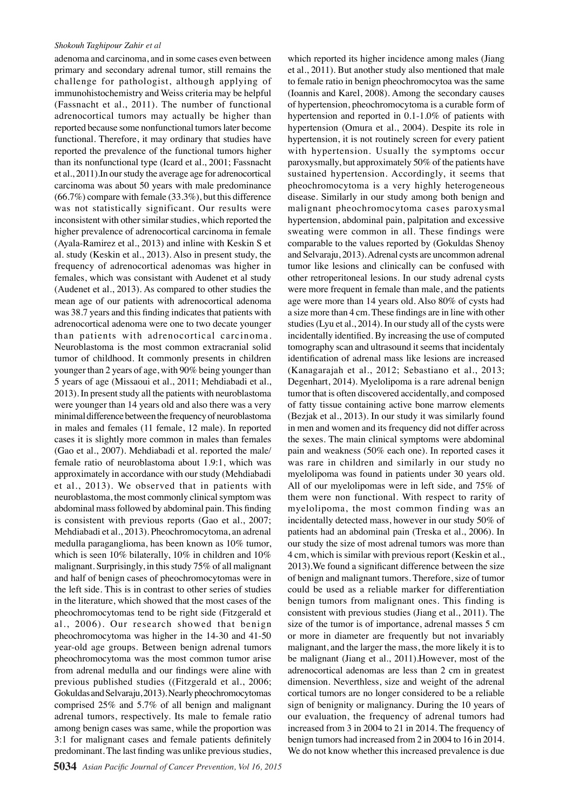#### *Shokouh Taghipour Zahir et al*

adenoma and carcinoma, and in some cases even between primary and secondary adrenal tumor, still remains the challenge for pathologist, although applying of immunohistochemistry and Weiss criteria may be helpful (Fassnacht et al., 2011). The number of functional adrenocortical tumors may actually be higher than reported because some nonfunctional tumors later become functional. Therefore, it may ordinary that studies have reported the prevalence of the functional tumors higher than its nonfunctional type (Icard et al., 2001; Fassnacht et al., 2011).In our study the average age for adrenocortical carcinoma was about 50 years with male predominance  $(66.7\%)$  compare with female  $(33.3\%)$ , but this difference was not statistically significant. Our results were inconsistent with other similar studies, which reported the higher prevalence of adrenocortical carcinoma in female (Ayala-Ramirez et al., 2013) and inline with Keskin S et al. study (Keskin et al., 2013). Also in present study, the frequency of adrenocortical adenomas was higher in females, which was consistant with Audenet et al study (Audenet et al., 2013). As compared to other studies the mean age of our patients with adrenocortical adenoma was 38.7 years and this finding indicates that patients with adrenocortical adenoma were one to two decate younger than patients with adrenocortical carcinoma. Neuroblastoma is the most common extracranial solid tumor of childhood. It commonly presents in children younger than 2 years of age, with 90% being younger than 5 years of age (Missaoui et al., 2011; Mehdiabadi et al., 2013). In present study all the patients with neuroblastoma were younger than 14 years old and also there was a very minimal difference between the frequency of neuroblastoma in males and females (11 female, 12 male). In reported cases it is slightly more common in males than females (Gao et al., 2007). Mehdiabadi et al. reported the male/ female ratio of neuroblastoma about 1.9:1, which was approximately in accordance with our study (Mehdiabadi et al., 2013). We observed that in patients with neuroblastoma, the most commonly clinical symptom was abdominal mass followed by abdominal pain. This finding is consistent with previous reports (Gao et al., 2007; Mehdiabadi et al., 2013). Pheochromocytoma, an adrenal medulla paraganglioma, has been known as 10% tumor, which is seen 10% bilaterally, 10% in children and 10% malignant. Surprisingly, in this study 75% of all malignant and half of benign cases of pheochromocytomas were in the left side. This is in contrast to other series of studies in the literature, which showed that the most cases of the pheochromocytomas tend to be right side (Fitzgerald et al., 2006). Our research showed that benign pheochromocytoma was higher in the 14-30 and 41-50 year-old age groups. Between benign adrenal tumors pheochromocytoma was the most common tumor arise from adrenal medulla and our findings were aline with previous published studies ((Fitzgerald et al., 2006; Gokuldas and Selvaraju, 2013). Nearly pheochromocytomas comprised 25% and 5.7% of all benign and malignant adrenal tumors, respectively. Its male to female ratio among benign cases was same, while the proportion was 3:1 for malignant cases and female patients definitely predominant. The last finding was unlike previous studies,

which reported its higher incidence among males (Jiang et al., 2011). But another study also mentioned that male to female ratio in benign pheochromocytoa was the same (Ioannis and Karel, 2008). Among the secondary causes of hypertension, pheochromocytoma is a curable form of hypertension and reported in 0.1-1.0% of patients with hypertension (Omura et al., 2004). Despite its role in hypertension, it is not routinely screen for every patient with hypertension. Usually the symptoms occur paroxysmally, but approximately 50% of the patients have sustained hypertension. Accordingly, it seems that pheochromocytoma is a very highly heterogeneous disease. Similarly in our study among both benign and malignant pheochromocytoma cases paroxysmal hypertension, abdominal pain, palpitation and excessive sweating were common in all. These findings were comparable to the values reported by (Gokuldas Shenoy and Selvaraju, 2013). Adrenal cysts are uncommon adrenal tumor like lesions and clinically can be confused with other retroperitoneal lesions. In our study adrenal cysts were more frequent in female than male, and the patients age were more than 14 years old. Also 80% of cysts had a size more than 4 cm. These findings are in line with other studies (Lyu et al., 2014). In our study all of the cysts were incidentally identified. By increasing the use of computed tomography scan and ultrasound it seems that incidentaly identification of adrenal mass like lesions are increased (Kanagarajah et al., 2012; Sebastiano et al., 2013; Degenhart, 2014). Myelolipoma is a rare adrenal benign tumor that is often discovered accidentally, and composed of fatty tissue containing active bone marrow elements (Bezjak et al., 2013). In our study it was similarly found in men and women and its frequency did not differ across the sexes. The main clinical symptoms were abdominal pain and weakness (50% each one). In reported cases it was rare in children and similarly in our study no myelolipoma was found in patients under 30 years old. All of our myelolipomas were in left side, and 75% of them were non functional. With respect to rarity of myelolipoma, the most common finding was an incidentally detected mass, however in our study 50% of patients had an abdominal pain (Treska et al., 2006). In our study the size of most adrenal tumors was more than 4 cm, which is similar with previous report (Keskin et al., 2013).We found a significant difference between the size of benign and malignant tumors. Therefore, size of tumor could be used as a reliable marker for differentiation benign tumors from malignant ones. This finding is consistent with previous studies (Jiang et al., 2011). The size of the tumor is of importance, adrenal masses 5 cm or more in diameter are frequently but not invariably malignant, and the larger the mass, the more likely it is to be malignant (Jiang et al., 2011).However, most of the adrenocortical adenomas are less than 2 cm in greatest dimension. Neverthless, size and weight of the adrenal cortical tumors are no longer considered to be a reliable sign of benignity or malignancy. During the 10 years of our evaluation, the frequency of adrenal tumors had increased from 3 in 2004 to 21 in 2014. The frequency of benign tumors had increased from 2 in 2004 to 16 in 2014. We do not know whether this increased prevalence is due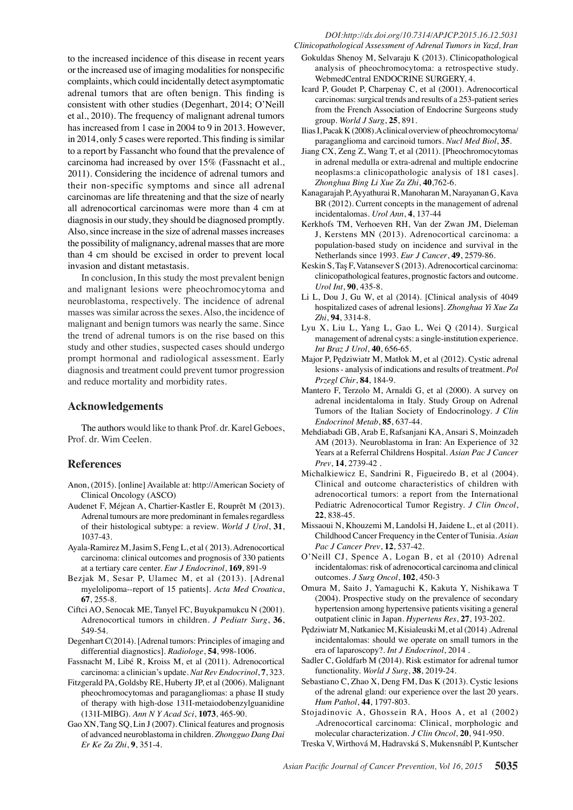to the increased incidence of this disease in recent years or the increased use of imaging modalities for nonspecific complaints, which could incidentally detect asymptomatic adrenal tumors that are often benign. This finding is consistent with other studies (Degenhart, 2014; O'Neill et al., 2010). The frequency of malignant adrenal tumors has increased from 1 case in 2004 to 9 in 2013. However, in 2014, only 5 cases were reported. This finding is similar to a report by Fassancht who found that the prevalence of carcinoma had increased by over 15% (Fassnacht et al., 2011). Considering the incidence of adrenal tumors and their non-specific symptoms and since all adrenal carcinomas are life threatening and that the size of nearly all adrenocortical carcinomas were more than 4 cm at diagnosis in our study, they should be diagnosed promptly. Also, since increase in the size of adrenal masses increases the possibility of malignancy, adrenal masses that are more than 4 cm should be excised in order to prevent local invasion and distant metastasis.

In conclusion, In this study the most prevalent benign and malignant lesions were pheochromocytoma and neuroblastoma, respectively. The incidence of adrenal masses was similar across the sexes. Also, the incidence of malignant and benign tumors was nearly the same. Since the trend of adrenal tumors is on the rise based on this study and other studies, suspected cases should undergo prompt hormonal and radiological assessment. Early diagnosis and treatment could prevent tumor progression and reduce mortality and morbidity rates.

## **Acknowledgements**

The authors would like to thank Prof. dr. Karel Geboes, Prof. dr. Wim Ceelen.

## **References**

- Anon, (2015). [online] Available at: http://American Society of Clinical Oncology (ASCO)
- Audenet F, Méjean A, Chartier-Kastler E, Rouprêt M (2013). Adrenal tumours are more predominant in females regardless of their histological subtype: a review. *World J Urol*, **31**, 1037-43.
- Ayala-Ramirez M, Jasim S, Feng L, et al ( 2013). Adrenocortical carcinoma: clinical outcomes and prognosis of 330 patients at a tertiary care center. *Eur J Endocrinol*, **169**, 891-9
- Bezjak M, Sesar P, Ulamec M, et al (2013). [Adrenal myelolipoma--report of 15 patients]. *Acta Med Croatica*, **67**, 255-8.
- Ciftci AO, Senocak ME, Tanyel FC, Buyukpamukcu N (2001). Adrenocortical tumors in children. *J Pediatr Surg*, **36**, 549-54.
- Degenhart C(2014). [Adrenal tumors: Principles of imaging and differential diagnostics]. *Radiologe*, **54**, 998-1006.
- Fassnacht M, Libé R, Kroiss M, et al (2011). Adrenocortical carcinoma: a clinician's update. *Nat Rev Endocrinol*, **7**, 323.
- Fitzgerald PA, Goldsby RE, Huberty JP, et al (2006). Malignant pheochromocytomas and paragangliomas: a phase II study of therapy with high-dose 131I-metaiodobenzylguanidine (131I-MIBG). *Ann N Y Acad Sci*, **1073**, 465-90.
- Gao XN, Tang SQ, Lin J (2007). Clinical features and prognosis of advanced neuroblastoma in children. *Zhongguo Dang Dai Er Ke Za Zhi*, **9**, 351-4.
- *Clinicopathological Assessment of Adrenal Tumors in Yazd, Iran* Gokuldas Shenoy M, Selvaraju K (2013). Clinicopathological analysis of pheochromocytoma: a retrospective study. WebmedCentral ENDOCRINE SURGERY, 4.
	- Icard P, Goudet P, Charpenay C, et al (2001). Adrenocortical carcinomas: surgical trends and results of a 253-patient series from the French Association of Endocrine Surgeons study group. *World J Surg*, **25**, 891.
	- Ilias I, Pacak K (2008).A clinical overview of pheochromocytoma/ paraganglioma and carcinoid tumors. *Nucl Med Biol*, **35**.
	- Jiang CX, Zeng Z, Wang T, et al (2011). [Pheochromocytomas in adrenal medulla or extra-adrenal and multiple endocrine neoplasms:a clinicopathologic analysis of 181 cases]. *Zhonghua Bing Li Xue Za Zhi*, **40**,762-6.
	- Kanagarajah P, Ayyathurai R, Manoharan M, Narayanan G, Kava BR (2012). Current concepts in the management of adrenal incidentalomas. *Urol Ann*, **4**, 137-44
	- Kerkhofs TM, Verhoeven RH, Van der Zwan JM, Dieleman J, Kerstens MN (2013). Adrenocortical carcinoma: a population-based study on incidence and survival in the Netherlands since 1993. *Eur J Cancer*, **49**, 2579-86.
	- Keskin S, Taş F, Vatansever S (2013). Adrenocortical carcinoma: clinicopathological features, prognostic factors and outcome. *Urol Int*, **90**, 435-8.
	- Li L, Dou J, Gu W, et al (2014). [Clinical analysis of 4049 hospitalized cases of adrenal lesions]. *Zhonghua Yi Xue Za Zhi*, **94**, 3314-8.
	- Lyu X, Liu L, Yang L, Gao L, Wei Q (2014). Surgical management of adrenal cysts: a single-institution experience. *Int Braz J Urol*, **40**, 656-65.
	- Major P, Pędziwiatr M, Matłok M, et al (2012). Cystic adrenal lesions - analysis of indications and results of treatment. *Pol Przegl Chir*, **84**, 184-9.
	- Mantero F, Terzolo M, Arnaldi G, et al (2000). A survey on adrenal incidentaloma in Italy. Study Group on Adrenal Tumors of the Italian Society of Endocrinology. *J Clin Endocrinol Metab*, **85**, 637-44.
	- Mehdiabadi GB, Arab E, Rafsanjani KA, Ansari S, Moinzadeh AM (2013). Neuroblastoma in Iran: An Experience of 32 Years at a Referral Childrens Hospital. *Asian Pac J Cancer Prev*, **14**, 2739-42 .
	- Michalkiewicz E, Sandrini R, Figueiredo B, et al (2004). Clinical and outcome characteristics of children with adrenocortical tumors: a report from the International Pediatric Adrenocortical Tumor Registry. *J Clin Oncol*, **22**, 838-45.
	- Missaoui N, Khouzemi M, Landolsi H, Jaidene L, et al (2011). Childhood Cancer Frequency in the Center of Tunisia. *Asian Pac J Cancer Prev*, **12**, 537-42.
	- O'Neill CJ, Spence A, Logan B, et al (2010) Adrenal incidentalomas: risk of adrenocortical carcinoma and clinical outcomes. *J Surg Oncol*, **102**, 450-3
	- Omura M, Saito J, Yamaguchi K, Kakuta Y, Nishikawa T (2004). Prospective study on the prevalence of secondary hypertension among hypertensive patients visiting a general outpatient clinic in Japan. *Hypertens Res*, **27**, 193-202.
	- Pędziwiatr M, Natkaniec M, Kisialeuski M, et al (2014) .Adrenal incidentalomas: should we operate on small tumors in the era of laparoscopy?. *Int J Endocrinol*, 2014 .
	- Sadler C, Goldfarb M (2014). Risk estimator for adrenal tumor functionality. *World J Surg*, **38**, 2019-24.
	- Sebastiano C, Zhao X, Deng FM, Das K (2013). Cystic lesions of the adrenal gland: our experience over the last 20 years. *Hum Pathol*, **44**, 1797-803.
	- Stojadinovic A, Ghossein RA, Hoos A, et al (2002) .Adrenocortical carcinoma: Clinical, morphologic and molecular characterization. *J Clin Oncol*, **20**, 941-950.

Treska V, Wirthová M, Hadravská S, Mukensnábl P, Kuntscher